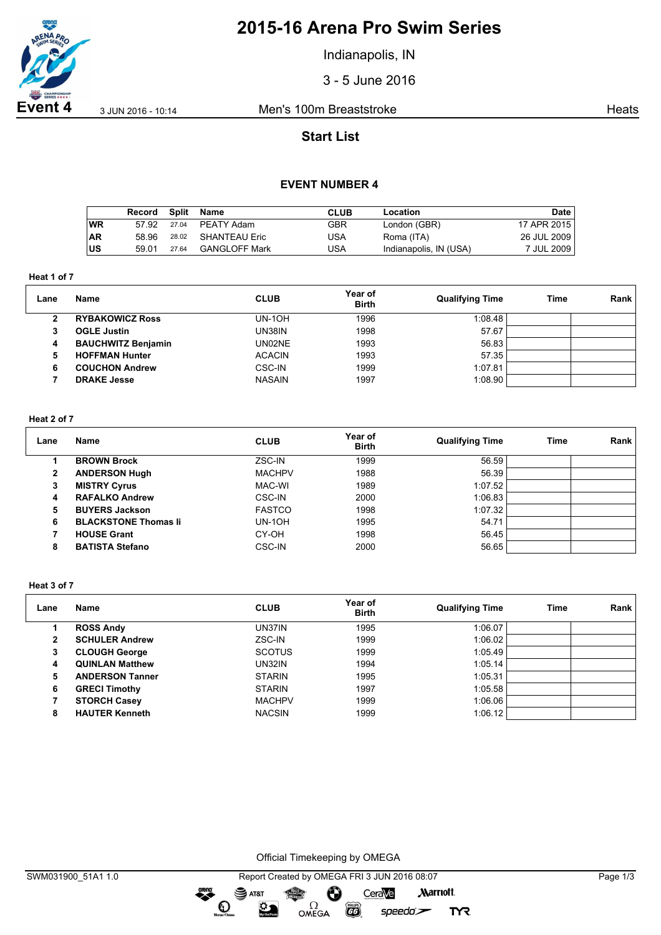

# **2015-16 Arena Pro Swim Series**

Indianapolis, IN

3 - 5 June 2016

**Event 4** 3 JUN 2016 - 10:14 Men's 100m Breaststroke Heats

## **Start List**

### **EVENT NUMBER 4**

|           | Record | Split | Name          | CLUB       | Location               | Date        |
|-----------|--------|-------|---------------|------------|------------------------|-------------|
| ∣wR       | 57.92  | 27.04 | PEATY Adam    | <b>GBR</b> | London (GBR)           | 17 APR 2015 |
| <b>AR</b> | 58.96  | 28.02 | SHANTEAU Eric | USA        | Roma (ITA)             | 26 JUL 2009 |
| ∣US       | 59.01  | 27.64 | GANGLOFF Mark | JSA        | Indianapolis, IN (USA) | 7 JUL 2009  |

**Heat 1 of 7**

| Lane | Name                      | <b>CLUB</b>   | Year of<br><b>Birth</b> | <b>Qualifying Time</b> | Time | Rank |
|------|---------------------------|---------------|-------------------------|------------------------|------|------|
|      | <b>RYBAKOWICZ Ross</b>    | $UN-1OH$      | 1996                    | 1:08.48                |      |      |
| 3    | <b>OGLE Justin</b>        | UN38IN        | 1998                    | 57.67                  |      |      |
| 4    | <b>BAUCHWITZ Benjamin</b> | UN02NE        | 1993                    | 56.83                  |      |      |
| 5    | <b>HOFFMAN Hunter</b>     | <b>ACACIN</b> | 1993                    | 57.35                  |      |      |
| 6    | <b>COUCHON Andrew</b>     | CSC-IN        | 1999                    | 1:07.81                |      |      |
|      | <b>DRAKE Jesse</b>        | <b>NASAIN</b> | 1997                    | 1:08.90                |      |      |

#### **Heat 2 of 7**

| Lane | Name                        | <b>CLUB</b>   | Year of<br><b>Birth</b> | <b>Qualifying Time</b> | Time | Rank |
|------|-----------------------------|---------------|-------------------------|------------------------|------|------|
|      | <b>BROWN Brock</b>          | ZSC-IN        | 1999                    | 56.59                  |      |      |
| 2    | <b>ANDERSON Hugh</b>        | <b>MACHPV</b> | 1988                    | 56.39                  |      |      |
| 3    | <b>MISTRY Cyrus</b>         | MAC-WI        | 1989                    | 1:07.52                |      |      |
| 4    | <b>RAFALKO Andrew</b>       | CSC-IN        | 2000                    | 1:06.83                |      |      |
| 5    | <b>BUYERS Jackson</b>       | <b>FASTCO</b> | 1998                    | 1:07.32                |      |      |
| 6    | <b>BLACKSTONE Thomas li</b> | UN-1OH        | 1995                    | 54.71                  |      |      |
|      | <b>HOUSE Grant</b>          | CY-OH         | 1998                    | 56.45                  |      |      |
| 8    | <b>BATISTA Stefano</b>      | CSC-IN        | 2000                    | 56.65                  |      |      |

#### **Heat 3 of 7**

| Lane | <b>Name</b>            | <b>CLUB</b>   | Year of<br><b>Birth</b> | <b>Qualifying Time</b> | <b>Time</b> | Rank |
|------|------------------------|---------------|-------------------------|------------------------|-------------|------|
|      | <b>ROSS Andy</b>       | UN37IN        | 1995                    | 1:06.07                |             |      |
| 2    | <b>SCHULER Andrew</b>  | ZSC-IN        | 1999                    | 1:06.02                |             |      |
| 3    | <b>CLOUGH George</b>   | <b>SCOTUS</b> | 1999                    | 1:05.49                |             |      |
| 4    | <b>QUINLAN Matthew</b> | <b>UN32IN</b> | 1994                    | 1:05.14                |             |      |
| 5    | <b>ANDERSON Tanner</b> | <b>STARIN</b> | 1995                    | 1:05.31                |             |      |
| 6    | <b>GRECI Timothy</b>   | <b>STARIN</b> | 1997                    | 1:05.58                |             |      |
|      | <b>STORCH Casey</b>    | <b>MACHPV</b> | 1999                    | 1:06.06                |             |      |
| 8    | <b>HAUTER Kenneth</b>  | <b>NACSIN</b> | 1999                    | 1:06.12                |             |      |

Official Timekeeping by OMEGA

 $\overbrace{\phantom{1}}^{\text{mean}}$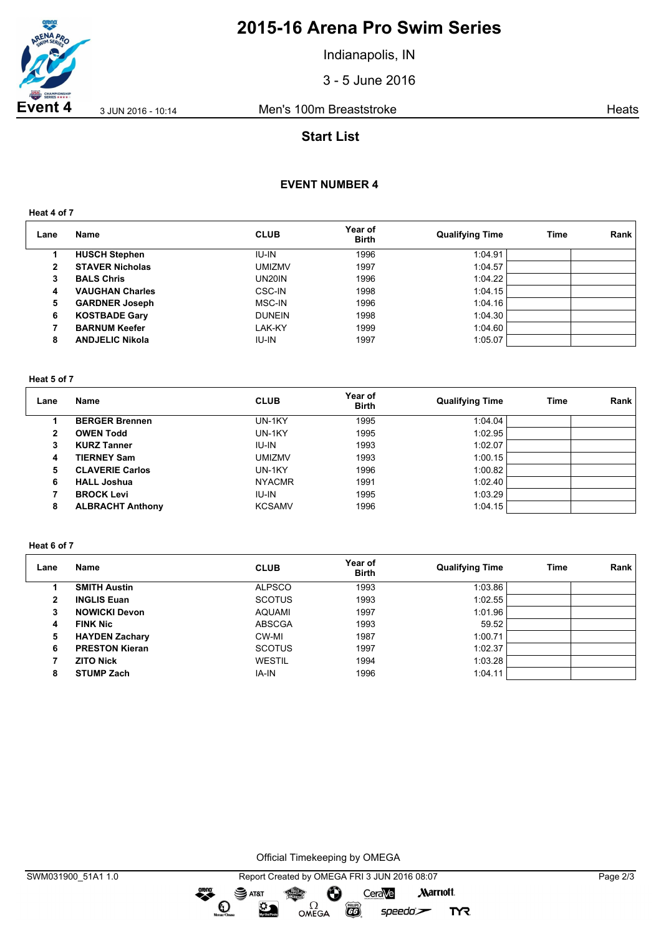

# **2015-16 Arena Pro Swim Series**

Indianapolis, IN

3 - 5 June 2016

**Event 4** 3 JUN 2016 - 10:14 Men's 100m Breaststroke Ment Steats

## **Start List**

### **EVENT NUMBER 4**

**Heat 4 of 7**

| Lane | Name                   | <b>CLUB</b>   | Year of<br><b>Birth</b> | <b>Qualifying Time</b> | <b>Time</b> | Rank |
|------|------------------------|---------------|-------------------------|------------------------|-------------|------|
|      | <b>HUSCH Stephen</b>   | <b>IU-IN</b>  | 1996                    | 1:04.91                |             |      |
| 2    | <b>STAVER Nicholas</b> | umizmv        | 1997                    | 1:04.57                |             |      |
| 3    | <b>BALS Chris</b>      | UN20IN        | 1996                    | 1:04.22                |             |      |
| 4    | <b>VAUGHAN Charles</b> | CSC-IN        | 1998                    | 1:04.15                |             |      |
| 5    | <b>GARDNER Joseph</b>  | MSC-IN        | 1996                    | 1:04.16                |             |      |
| 6    | <b>KOSTBADE Gary</b>   | <b>DUNEIN</b> | 1998                    | 1:04.30                |             |      |
|      | <b>BARNUM Keefer</b>   | LAK-KY        | 1999                    | 1:04.60                |             |      |
| 8    | <b>ANDJELIC Nikola</b> | <b>IU-IN</b>  | 1997                    | 1:05.07                |             |      |

#### **Heat 5 of 7**

| Lane | Name                    | <b>CLUB</b>   | Year of<br><b>Birth</b> | <b>Qualifying Time</b> | Time | Rank |
|------|-------------------------|---------------|-------------------------|------------------------|------|------|
|      | <b>BERGER Brennen</b>   | UN-1KY        | 1995                    | 1:04.04                |      |      |
| 2    | <b>OWEN Todd</b>        | UN-1KY        | 1995                    | 1:02.95                |      |      |
| 3    | <b>KURZ Tanner</b>      | IU-IN         | 1993                    | 1:02.07                |      |      |
| 4    | <b>TIERNEY Sam</b>      | <b>UMIZMV</b> | 1993                    | 1:00.15                |      |      |
| 5    | <b>CLAVERIE Carlos</b>  | UN-1KY        | 1996                    | 1:00.82                |      |      |
| 6    | <b>HALL Joshua</b>      | <b>NYACMR</b> | 1991                    | 1:02.40                |      |      |
|      | <b>BROCK Levi</b>       | <b>IU-IN</b>  | 1995                    | 1:03.29                |      |      |
| 8    | <b>ALBRACHT Anthony</b> | <b>KCSAMV</b> | 1996                    | 1:04.15                |      |      |

#### **Heat 6 of 7**

| Lane | Name                  | <b>CLUB</b>   | Year of<br><b>Birth</b> | <b>Qualifying Time</b> | <b>Time</b> | Rank |
|------|-----------------------|---------------|-------------------------|------------------------|-------------|------|
|      | <b>SMITH Austin</b>   | <b>ALPSCO</b> | 1993                    | 1:03.86                |             |      |
| 2    | <b>INGLIS Euan</b>    | <b>SCOTUS</b> | 1993                    | 1:02.55                |             |      |
| 3    | <b>NOWICKI Devon</b>  | <b>AQUAMI</b> | 1997                    | 1:01.96                |             |      |
| 4    | <b>FINK Nic</b>       | <b>ABSCGA</b> | 1993                    | 59.52                  |             |      |
| 5    | <b>HAYDEN Zachary</b> | CW-MI         | 1987                    | 1:00.71                |             |      |
| 6    | <b>PRESTON Kieran</b> | <b>SCOTUS</b> | 1997                    | 1:02.37                |             |      |
|      | <b>ZITO Nick</b>      | <b>WESTIL</b> | 1994                    | 1:03.28                |             |      |
| 8    | <b>STUMP Zach</b>     | IA-IN         | 1996                    | 1:04.11                |             |      |

Official Timekeeping by OMEGA

OMEGA

dreng:

 $\mathbf O$ 

 $\sum_{n=1}^{\infty}$ 

SWM031900\_51A1 1.0 Report Created by OMEGA FRI 3 JUN 2016 08:07 Page 2/3 SAT&T CeraVe **Marriott** Ô

 $\overline{G}$ 

 $speedo$ 

**TYR**